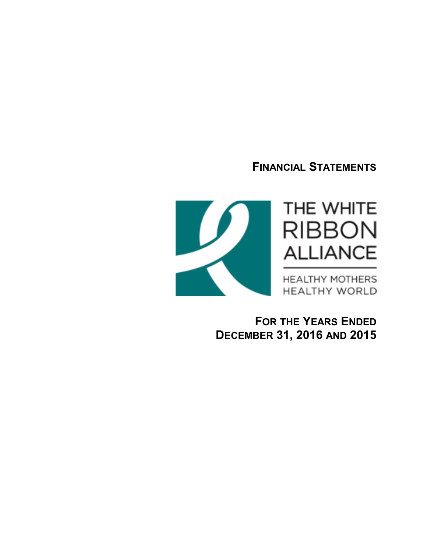**FINANCIAL STATEMENTS**



**FOR THE YEARS ENDED DECEMBER 31, 2016 AND 2015**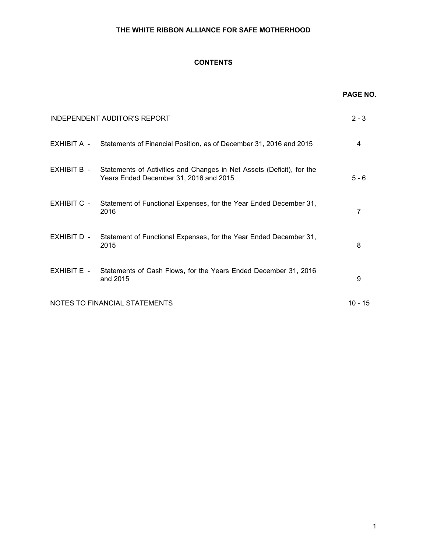# **CONTENTS**

|               |                                                                                                                 | <b>PAGE NO.</b> |
|---------------|-----------------------------------------------------------------------------------------------------------------|-----------------|
|               | INDEPENDENT AUDITOR'S REPORT                                                                                    | $2 - 3$         |
|               | EXHIBIT A - Statements of Financial Position, as of December 31, 2016 and 2015                                  | 4               |
| EXHIBIT B -   | Statements of Activities and Changes in Net Assets (Deficit), for the<br>Years Ended December 31, 2016 and 2015 | $5 - 6$         |
| EXHIBIT C -   | Statement of Functional Expenses, for the Year Ended December 31,<br>2016                                       | $\overline{7}$  |
| EXHIBIT D -   | Statement of Functional Expenses, for the Year Ended December 31,<br>2015                                       | 8               |
| $EXHIBIT E -$ | Statements of Cash Flows, for the Years Ended December 31, 2016<br>and 2015                                     | 9               |
|               | NOTES TO FINANCIAL STATEMENTS                                                                                   | $10 - 15$       |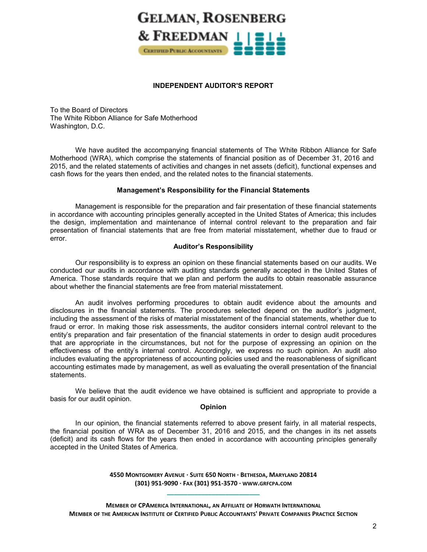

### **INDEPENDENT AUDITOR'S REPORT**

To the Board of Directors The White Ribbon Alliance for Safe Motherhood Washington, D.C.

We have audited the accompanying financial statements of The White Ribbon Alliance for Safe Motherhood (WRA), which comprise the statements of financial position as of December 31, 2016 and 2015, and the related statements of activities and changes in net assets (deficit), functional expenses and cash flows for the years then ended, and the related notes to the financial statements.

## **Management's Responsibility for the Financial Statements**

Management is responsible for the preparation and fair presentation of these financial statements in accordance with accounting principles generally accepted in the United States of America; this includes the design, implementation and maintenance of internal control relevant to the preparation and fair presentation of financial statements that are free from material misstatement, whether due to fraud or error.

### **Auditor's Responsibility**

Our responsibility is to express an opinion on these financial statements based on our audits. We conducted our audits in accordance with auditing standards generally accepted in the United States of America. Those standards require that we plan and perform the audits to obtain reasonable assurance about whether the financial statements are free from material misstatement.

An audit involves performing procedures to obtain audit evidence about the amounts and disclosures in the financial statements. The procedures selected depend on the auditor's judgment, including the assessment of the risks of material misstatement of the financial statements, whether due to fraud or error. In making those risk assessments, the auditor considers internal control relevant to the entity's preparation and fair presentation of the financial statements in order to design audit procedures that are appropriate in the circumstances, but not for the purpose of expressing an opinion on the effectiveness of the entity's internal control. Accordingly, we express no such opinion. An audit also includes evaluating the appropriateness of accounting policies used and the reasonableness of significant accounting estimates made by management, as well as evaluating the overall presentation of the financial statements.

We believe that the audit evidence we have obtained is sufficient and appropriate to provide a basis for our audit opinion.

## **Opinion**

In our opinion, the financial statements referred to above present fairly, in all material respects, the financial position of WRA as of December 31, 2016 and 2015, and the changes in its net assets (deficit) and its cash flows for the years then ended in accordance with accounting principles generally accepted in the United States of America.

> **4550 MONTGOMERY AVENUE · SUITE 650 NORTH · BETHESDA, MARYLAND 20814 (301) 951-9090 · FAX (301) 951-3570 · WWW.GRFCPA.COM \_\_\_\_\_\_\_\_\_\_\_\_\_\_\_\_\_\_\_\_\_\_\_\_\_\_\_**

**MEMBER OF CPAMERICA INTERNATIONAL, AN AFFILIATE OF HORWATH INTERNATIONAL** MEMBER OF THE AMERICAN INSTITUTE OF CERTIFIED PUBLIC ACCOUNTANTS' PRIVATE COMPANIES PRACTICE SECTION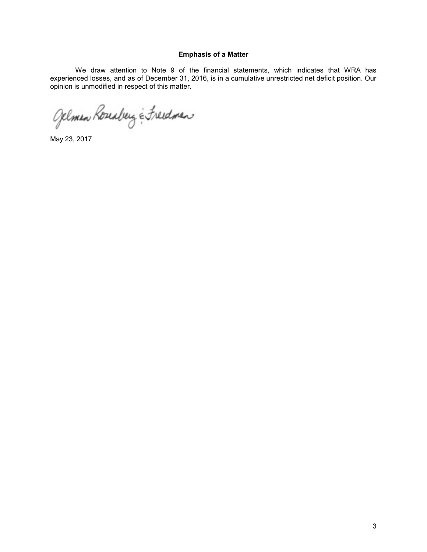#### **Emphasis of a Matter**

We draw attention to Note 9 of the financial statements, which indicates that WRA has experienced losses, and as of December 31, 2016, is in a cumulative unrestricted net deficit position. Our opinion is unmodified in respect of this matter.

gelman Roseaberg & Freedman

May 23, 2017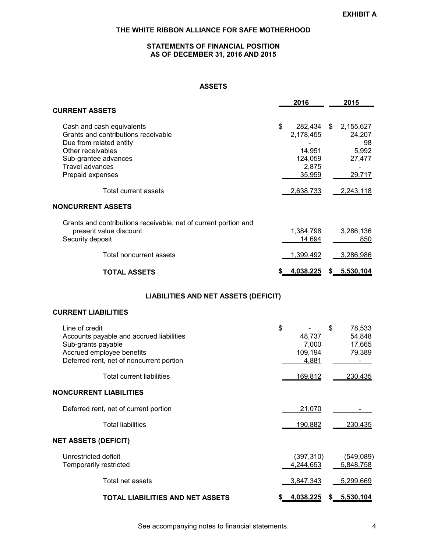## **STATEMENTS OF FINANCIAL POSITION AS OF DECEMBER 31, 2016 AND 2015**

# **ASSETS**

|                                                                                                                                                                                               | 2016                                                                  | 2015                                                   |
|-----------------------------------------------------------------------------------------------------------------------------------------------------------------------------------------------|-----------------------------------------------------------------------|--------------------------------------------------------|
| <b>CURRENT ASSETS</b>                                                                                                                                                                         |                                                                       |                                                        |
| Cash and cash equivalents<br>Grants and contributions receivable<br>Due from related entity<br>Other receivables<br>Sub-grantee advances<br><b>Travel advances</b><br>Prepaid expenses        | \$<br>282,434 \$<br>2,178,455<br>14,951<br>124,059<br>2,875<br>35,959 | 2,155,627<br>24,207<br>98<br>5,992<br>27,477<br>29,717 |
| <b>Total current assets</b>                                                                                                                                                                   | 2,638,733                                                             | 2,243,118                                              |
| <b>NONCURRENT ASSETS</b>                                                                                                                                                                      |                                                                       |                                                        |
| Grants and contributions receivable, net of current portion and<br>present value discount<br>Security deposit<br><b>Total noncurrent assets</b>                                               | 1,384,798<br>14,694<br>1,399,492                                      | 3,286,136<br>850<br>3,286,986                          |
| <b>TOTAL ASSETS</b>                                                                                                                                                                           | $$ 4,038,225$ $$ 5,530,104$                                           |                                                        |
| <b>LIABILITIES AND NET ASSETS (DEFICIT)</b>                                                                                                                                                   |                                                                       |                                                        |
| <b>CURRENT LIABILITIES</b>                                                                                                                                                                    |                                                                       |                                                        |
| Line of credit<br>Accounts payable and accrued liabilities<br>Sub-grants payable<br>Accrued employee benefits<br>Deferred rent, net of noncurrent portion<br><b>Total current liabilities</b> | \$<br>48,737<br>7,000<br>109,194<br>4,881<br>169,812                  | \$<br>78,533<br>54,848<br>17,665<br>79,389<br>230,435  |
| <b>NONCURRENT LIABILITIES</b>                                                                                                                                                                 |                                                                       |                                                        |
| Deferred rent, net of current portion                                                                                                                                                         | 21,070                                                                |                                                        |
| <b>Total liabilities</b>                                                                                                                                                                      | 190,882                                                               | 230,435                                                |
| <b>NET ASSETS (DEFICIT)</b>                                                                                                                                                                   |                                                                       |                                                        |
| Unrestricted deficit<br>Temporarily restricted                                                                                                                                                | (397, 310)<br>4,244,653                                               | (549,089)<br>5,848,758                                 |
| Total net assets                                                                                                                                                                              | <u>3,847,343</u>                                                      | 5,299,669                                              |
| TOTAL LIABILITIES AND NET ASSETS                                                                                                                                                              | 4,038,225 \$ 5,530,104                                                |                                                        |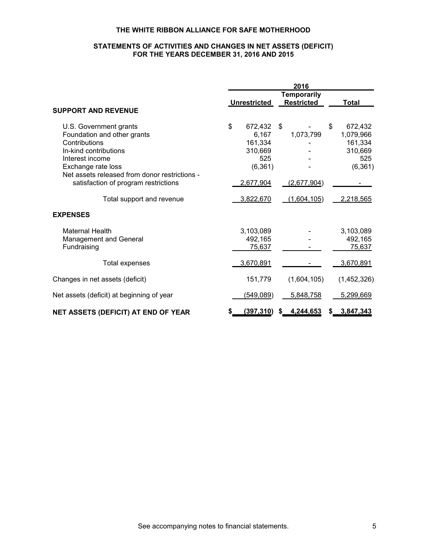## **STATEMENTS OF ACTIVITIES AND CHANGES IN NET ASSETS (DEFICIT) FOR THE YEARS DECEMBER 31, 2016 AND 2015**

|                                               | 2016               |                     |    |                   |    |                  |  |
|-----------------------------------------------|--------------------|---------------------|----|-------------------|----|------------------|--|
|                                               | <b>Temporarily</b> |                     |    |                   |    |                  |  |
| <b>SUPPORT AND REVENUE</b>                    |                    | <b>Unrestricted</b> |    | <b>Restricted</b> |    | <b>Total</b>     |  |
|                                               |                    |                     |    |                   |    |                  |  |
| U.S. Government grants                        | \$                 | 672,432             | \$ |                   | \$ | 672,432          |  |
| Foundation and other grants                   |                    | 6,167               |    | 1,073,799         |    | 1,079,966        |  |
| Contributions                                 |                    | 161,334             |    |                   |    | 161,334          |  |
| In-kind contributions<br>Interest income      |                    | 310,669<br>525      |    |                   |    | 310,669<br>525   |  |
| Exchange rate loss                            |                    | (6, 361)            |    |                   |    | (6, 361)         |  |
| Net assets released from donor restrictions - |                    |                     |    |                   |    |                  |  |
| satisfaction of program restrictions          |                    | 2,677,904           |    | (2,677,904)       |    |                  |  |
| Total support and revenue                     |                    | 3,822,670           |    | (1,604,105)       |    | 2,218,565        |  |
| <b>EXPENSES</b>                               |                    |                     |    |                   |    |                  |  |
| <b>Maternal Health</b>                        |                    | 3,103,089           |    |                   |    | 3,103,089        |  |
| Management and General                        |                    | 492,165             |    |                   |    | 492,165          |  |
| Fundraising                                   |                    | 75,637              |    |                   |    | 75,637           |  |
| Total expenses                                |                    | 3,670,891           |    |                   |    | 3,670,891        |  |
| Changes in net assets (deficit)               |                    | 151,779             |    | (1,604,105)       |    | (1,452,326)      |  |
| Net assets (deficit) at beginning of year     |                    | (549,089)           |    | 5,848,758         |    | 5,299,669        |  |
| <b>NET ASSETS (DEFICIT) AT END OF YEAR</b>    |                    | <u>(397,310)</u>    |    | 4,244,653         |    | <u>3,847,343</u> |  |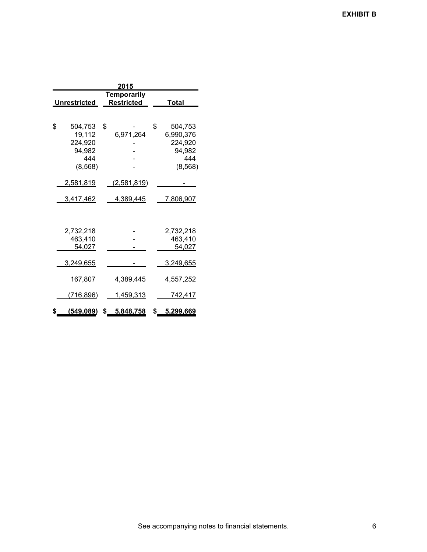| 2015                                                                    |                                                           |    |                    |    |                                                              |  |  |  |  |  |
|-------------------------------------------------------------------------|-----------------------------------------------------------|----|--------------------|----|--------------------------------------------------------------|--|--|--|--|--|
| <b>Temporarily</b><br><b>Restricted</b><br><b>Unrestricted</b><br>Total |                                                           |    |                    |    |                                                              |  |  |  |  |  |
| \$                                                                      | 504,753<br>19,112<br>224.920<br>94.982<br>444<br>(8, 568) | \$ | 6,971,264          | \$ | 504,753<br>6,990,376<br>224.920<br>94.982<br>444<br>(8, 568) |  |  |  |  |  |
|                                                                         | <u>2,581,819</u>                                          |    | <u>(2,581,819)</u> |    |                                                              |  |  |  |  |  |
|                                                                         | <u>3,417,462</u>                                          |    | 4,389,445          |    | <u>7,806,907</u>                                             |  |  |  |  |  |
|                                                                         | 2,732,218<br>463,410<br>54.027                            |    |                    |    | 2,732,218<br>463,410<br>54,027                               |  |  |  |  |  |
|                                                                         | <u>3,249,655</u>                                          |    |                    |    | <u>3,249,655</u>                                             |  |  |  |  |  |
|                                                                         | 167,807                                                   |    | 4,389,445          |    | 4,557,252                                                    |  |  |  |  |  |
|                                                                         | <u>(716,896)</u>                                          |    | <u>1,459,313</u>   |    | 742,417                                                      |  |  |  |  |  |
| S                                                                       | <u>(549,089)</u>                                          | S  | <u>5,848,758</u>   | \$ | <u>5,299,669</u>                                             |  |  |  |  |  |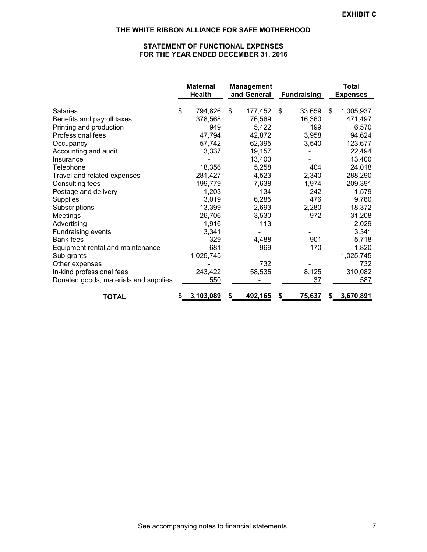# **STATEMENT OF FUNCTIONAL EXPENSES FOR THE YEAR ENDED DECEMBER 31, 2016**

|                                       | <b>Maternal</b><br><b>Health</b> |    | <b>Management</b><br>and General |    | <b>Fundraising</b> |    | <b>Total</b><br><b>Expenses</b> |
|---------------------------------------|----------------------------------|----|----------------------------------|----|--------------------|----|---------------------------------|
|                                       |                                  |    |                                  |    |                    |    |                                 |
| Salaries                              | \$<br>794,826                    | \$ | 177,452                          | \$ | 33,659             | \$ | 1,005,937                       |
| Benefits and payroll taxes            | 378,568                          |    | 76,569                           |    | 16,360             |    | 471,497                         |
| Printing and production               | 949                              |    | 5,422                            |    | 199                |    | 6,570                           |
| Professional fees                     | 47,794                           |    | 42,872                           |    | 3,958              |    | 94,624                          |
| Occupancy                             | 57,742                           |    | 62,395                           |    | 3,540              |    | 123,677                         |
| Accounting and audit                  | 3,337                            |    | 19,157                           |    |                    |    | 22,494                          |
| Insurance                             |                                  |    | 13,400                           |    |                    |    | 13,400                          |
| Telephone                             | 18,356                           |    | 5,258                            |    | 404                |    | 24,018                          |
| Travel and related expenses           | 281,427                          |    | 4,523                            |    | 2,340              |    | 288,290                         |
| Consulting fees                       | 199,779                          |    | 7,638                            |    | 1,974              |    | 209,391                         |
| Postage and delivery                  | 1,203                            |    | 134                              |    | 242                |    | 1,579                           |
| <b>Supplies</b>                       | 3,019                            |    | 6,285                            |    | 476                |    | 9,780                           |
| Subscriptions                         | 13,399                           |    | 2,693                            |    | 2,280              |    | 18,372                          |
| Meetings                              | 26,706                           |    | 3,530                            |    | 972                |    | 31,208                          |
| Advertising                           | 1,916                            |    | 113                              |    |                    |    | 2,029                           |
| Fundraising events                    | 3,341                            |    |                                  |    |                    |    | 3,341                           |
| <b>Bank fees</b>                      | 329                              |    | 4,488                            |    | 901                |    | 5,718                           |
| Equipment rental and maintenance      | 681                              |    | 969                              |    | 170                |    | 1,820                           |
| Sub-grants                            | 1,025,745                        |    |                                  |    |                    |    | 1,025,745                       |
| Other expenses                        |                                  |    | 732                              |    |                    |    | 732                             |
| In-kind professional fees             | 243,422                          |    | 58,535                           |    | 8,125              |    | 310,082                         |
| Donated goods, materials and supplies | 550                              |    |                                  |    | 37                 |    | 587                             |
| <b>TOTAL</b>                          | 3,103,089                        | S  | 492,165                          | S  | 75,637             | S  | 3,670,891                       |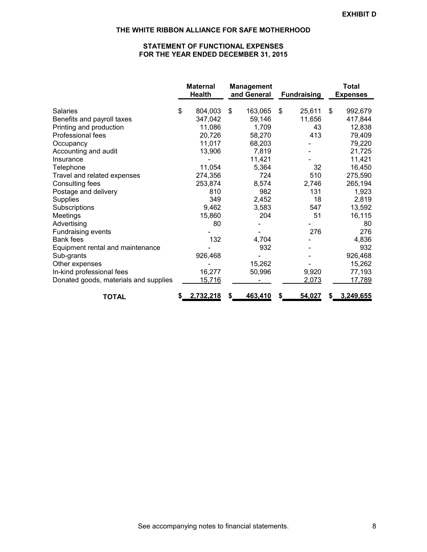# **STATEMENT OF FUNCTIONAL EXPENSES FOR THE YEAR ENDED DECEMBER 31, 2015**

|                                                | <b>Maternal</b><br><b>Health</b> |    | <b>Management</b><br>and General |    | <b>Fundraising</b> |    | <b>Total</b><br><b>Expenses</b> |
|------------------------------------------------|----------------------------------|----|----------------------------------|----|--------------------|----|---------------------------------|
| Salaries                                       | \$<br>804,003                    | \$ | 163,065                          | \$ | 25,611             | \$ | 992,679                         |
| Benefits and payroll taxes                     | 347,042                          |    | 59,146                           |    | 11,656             |    | 417,844                         |
| Printing and production                        | 11,086                           |    | 1,709                            |    | 43                 |    | 12,838                          |
| Professional fees                              | 20,726                           |    | 58,270                           |    | 413                |    | 79,409                          |
|                                                | 11,017                           |    | 68,203                           |    |                    |    | 79,220                          |
| Occupancy                                      | 13,906                           |    | 7,819                            |    |                    |    | 21,725                          |
| Accounting and audit<br>Insurance              |                                  |    | 11,421                           |    |                    |    | 11,421                          |
| Telephone                                      | 11,054                           |    | 5,364                            |    | 32                 |    | 16,450                          |
|                                                | 274,356                          |    | 724                              |    | 510                |    | 275,590                         |
| Travel and related expenses<br>Consulting fees | 253,874                          |    | 8,574                            |    | 2,746              |    | 265,194                         |
| Postage and delivery                           | 810                              |    | 982                              |    | 131                |    | 1,923                           |
|                                                | 349                              |    |                                  |    | 18                 |    |                                 |
| <b>Supplies</b>                                |                                  |    | 2,452                            |    |                    |    | 2,819                           |
| Subscriptions                                  | 9,462                            |    | 3,583<br>204                     |    | 547<br>51          |    | 13,592                          |
| Meetings                                       | 15,860<br>80                     |    |                                  |    |                    |    | 16,115<br>80                    |
| Advertising                                    |                                  |    |                                  |    |                    |    |                                 |
| Fundraising events<br><b>Bank fees</b>         | 132                              |    |                                  |    | 276                |    | 276<br>4,836                    |
|                                                |                                  |    | 4,704                            |    |                    |    |                                 |
| Equipment rental and maintenance               |                                  |    | 932                              |    |                    |    | 932                             |
| Sub-grants                                     | 926,468                          |    |                                  |    |                    |    | 926,468                         |
| Other expenses                                 |                                  |    | 15,262                           |    |                    |    | 15,262                          |
| In-kind professional fees                      | 16,277                           |    | 50,996                           |    | 9,920              |    | 77,193                          |
| Donated goods, materials and supplies          | 15,716                           |    |                                  |    | 2,073              |    | 17,789                          |
| <b>TOTAL</b>                                   | 2,732,218                        | S  | 463,410                          | S  | 54,027             | S  | 3,249,655                       |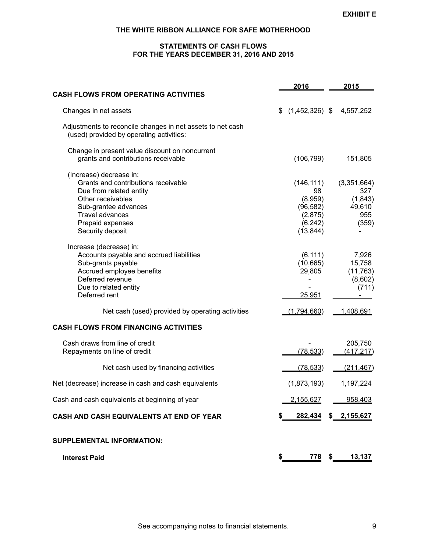## **STATEMENTS OF CASH FLOWS FOR THE YEARS DECEMBER 31, 2016 AND 2015**

|                                                                                                        | 2016                   | 2015                              |
|--------------------------------------------------------------------------------------------------------|------------------------|-----------------------------------|
| <b>CASH FLOWS FROM OPERATING ACTIVITIES</b>                                                            |                        |                                   |
| Changes in net assets                                                                                  | $(1,452,326)$ \$<br>\$ | 4,557,252                         |
| Adjustments to reconcile changes in net assets to net cash<br>(used) provided by operating activities: |                        |                                   |
| Change in present value discount on noncurrent                                                         |                        |                                   |
| grants and contributions receivable                                                                    | (106, 799)             | 151,805                           |
| (Increase) decrease in:                                                                                |                        |                                   |
| Grants and contributions receivable                                                                    | (146, 111)             | (3,351,664)                       |
| Due from related entity                                                                                | 98                     | 327                               |
| Other receivables                                                                                      | (8,959)                | (1,843)                           |
| Sub-grantee advances                                                                                   | (96, 582)              | 49,610                            |
| <b>Travel advances</b>                                                                                 | (2,875)                | 955                               |
| Prepaid expenses                                                                                       | (6, 242)               | (359)                             |
| Security deposit                                                                                       | (13, 844)              |                                   |
| Increase (decrease) in:                                                                                |                        |                                   |
| Accounts payable and accrued liabilities                                                               | (6, 111)               | 7,926                             |
| Sub-grants payable                                                                                     | (10, 665)              | 15,758                            |
| Accrued employee benefits                                                                              | 29,805                 | (11, 763)                         |
| Deferred revenue                                                                                       |                        | (8,602)                           |
| Due to related entity                                                                                  |                        | (711)                             |
| Deferred rent                                                                                          | 25,951                 |                                   |
| Net cash (used) provided by operating activities                                                       | (1,794,660)            | 1,408,691                         |
| <b>CASH FLOWS FROM FINANCING ACTIVITIES</b>                                                            |                        |                                   |
| Cash draws from line of credit                                                                         |                        | 205,750                           |
| Repayments on line of credit                                                                           | (78, 533)              | (417, 217)                        |
| Net cash used by financing activities                                                                  | (78, 533)              | (211, 467)                        |
| Net (decrease) increase in cash and cash equivalents                                                   | (1,873,193)            | 1,197,224                         |
| Cash and cash equivalents at beginning of year                                                         | 2,155,627              | 958,403                           |
| CASH AND CASH EQUIVALENTS AT END OF YEAR                                                               |                        | 282,434 \$ 2,155,627              |
| <b>SUPPLEMENTAL INFORMATION:</b>                                                                       |                        |                                   |
| <b>Interest Paid</b>                                                                                   | $\sum$                 | <u>13,137</u><br><u>778</u> \$___ |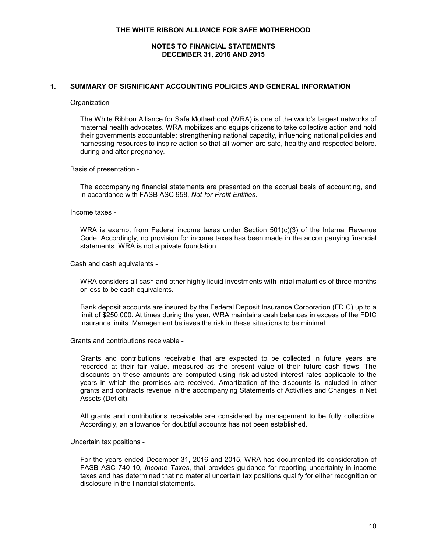#### **NOTES TO FINANCIAL STATEMENTS DECEMBER 31, 2016 AND 2015**

#### **1. SUMMARY OF SIGNIFICANT ACCOUNTING POLICIES AND GENERAL INFORMATION**

Organization -

The White Ribbon Alliance for Safe Motherhood (WRA) is one of the world's largest networks of maternal health advocates. WRA mobilizes and equips citizens to take collective action and hold their governments accountable; strengthening national capacity, influencing national policies and harnessing resources to inspire action so that all women are safe, healthy and respected before, during and after pregnancy.

Basis of presentation -

The accompanying financial statements are presented on the accrual basis of accounting, and in accordance with FASB ASC 958, *Not-for-Profit Entities*.

Income taxes -

WRA is exempt from Federal income taxes under Section 501(c)(3) of the Internal Revenue Code. Accordingly, no provision for income taxes has been made in the accompanying financial statements. WRA is not a private foundation.

Cash and cash equivalents -

WRA considers all cash and other highly liquid investments with initial maturities of three months or less to be cash equivalents.

Bank deposit accounts are insured by the Federal Deposit Insurance Corporation (FDIC) up to a limit of \$250,000. At times during the year, WRA maintains cash balances in excess of the FDIC insurance limits. Management believes the risk in these situations to be minimal.

Grants and contributions receivable -

Grants and contributions receivable that are expected to be collected in future years are recorded at their fair value, measured as the present value of their future cash flows. The discounts on these amounts are computed using risk-adjusted interest rates applicable to the years in which the promises are received. Amortization of the discounts is included in other grants and contracts revenue in the accompanying Statements of Activities and Changes in Net Assets (Deficit).

All grants and contributions receivable are considered by management to be fully collectible. Accordingly, an allowance for doubtful accounts has not been established.

Uncertain tax positions -

For the years ended December 31, 2016 and 2015, WRA has documented its consideration of FASB ASC 740-10, *Income Taxes*, that provides guidance for reporting uncertainty in income taxes and has determined that no material uncertain tax positions qualify for either recognition or disclosure in the financial statements.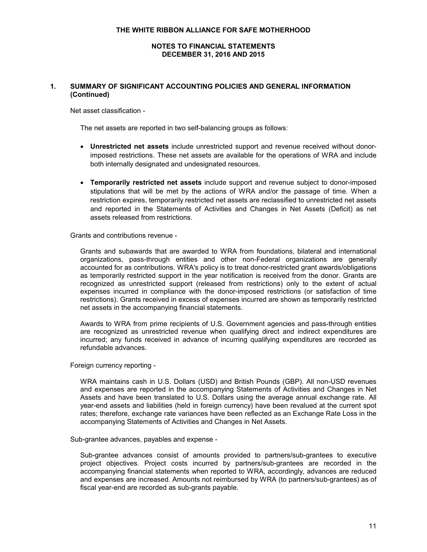#### **NOTES TO FINANCIAL STATEMENTS DECEMBER 31, 2016 AND 2015**

### **1. SUMMARY OF SIGNIFICANT ACCOUNTING POLICIES AND GENERAL INFORMATION (Continued)**

Net asset classification -

The net assets are reported in two self-balancing groups as follows:

- **Unrestricted net assets** include unrestricted support and revenue received without donorimposed restrictions. These net assets are available for the operations of WRA and include both internally designated and undesignated resources.
- **Temporarily restricted net assets** include support and revenue subject to donor-imposed stipulations that will be met by the actions of WRA and/or the passage of time. When a restriction expires, temporarily restricted net assets are reclassified to unrestricted net assets and reported in the Statements of Activities and Changes in Net Assets (Deficit) as net assets released from restrictions.

Grants and contributions revenue -

Grants and subawards that are awarded to WRA from foundations, bilateral and international organizations, pass-through entities and other non-Federal organizations are generally accounted for as contributions. WRA's policy is to treat donor-restricted grant awards/obligations as temporarily restricted support in the year notification is received from the donor. Grants are recognized as unrestricted support (released from restrictions) only to the extent of actual expenses incurred in compliance with the donor-imposed restrictions (or satisfaction of time restrictions). Grants received in excess of expenses incurred are shown as temporarily restricted net assets in the accompanying financial statements.

Awards to WRA from prime recipients of U.S. Government agencies and pass-through entities are recognized as unrestricted revenue when qualifying direct and indirect expenditures are incurred; any funds received in advance of incurring qualifying expenditures are recorded as refundable advances.

Foreign currency reporting -

WRA maintains cash in U.S. Dollars (USD) and British Pounds (GBP). All non-USD revenues and expenses are reported in the accompanying Statements of Activities and Changes in Net Assets and have been translated to U.S. Dollars using the average annual exchange rate. All year-end assets and liabilities (held in foreign currency) have been revalued at the current spot rates; therefore, exchange rate variances have been reflected as an Exchange Rate Loss in the accompanying Statements of Activities and Changes in Net Assets.

Sub-grantee advances, payables and expense -

Sub-grantee advances consist of amounts provided to partners/sub-grantees to executive project objectives. Project costs incurred by partners/sub-grantees are recorded in the accompanying financial statements when reported to WRA, accordingly, advances are reduced and expenses are increased. Amounts not reimbursed by WRA (to partners/sub-grantees) as of fiscal year-end are recorded as sub-grants payable.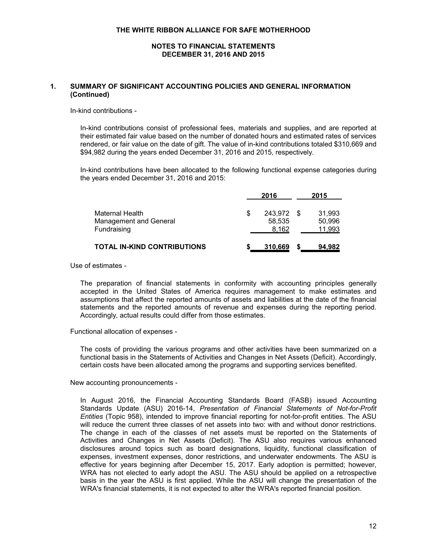#### **NOTES TO FINANCIAL STATEMENTS DECEMBER 31, 2016 AND 2015**

### **1. SUMMARY OF SIGNIFICANT ACCOUNTING POLICIES AND GENERAL INFORMATION (Continued)**

In-kind contributions -

In-kind contributions consist of professional fees, materials and supplies, and are reported at their estimated fair value based on the number of donated hours and estimated rates of services rendered, or fair value on the date of gift. The value of in-kind contributions totaled \$310,669 and \$94,982 during the years ended December 31, 2016 and 2015, respectively.

In-kind contributions have been allocated to the following functional expense categories during the years ended December 31, 2016 and 2015:

|                                                          |   | 2016                          | 2015                       |  |
|----------------------------------------------------------|---|-------------------------------|----------------------------|--|
| Maternal Health<br>Management and General<br>Fundraising | S | 243.972 \$<br>58.535<br>8.162 | 31,993<br>50,996<br>11,993 |  |
| <b>TOTAL IN-KIND CONTRIBUTIONS</b>                       |   | 310,669                       | 94,982                     |  |

Use of estimates -

The preparation of financial statements in conformity with accounting principles generally accepted in the United States of America requires management to make estimates and assumptions that affect the reported amounts of assets and liabilities at the date of the financial statements and the reported amounts of revenue and expenses during the reporting period. Accordingly, actual results could differ from those estimates.

Functional allocation of expenses -

The costs of providing the various programs and other activities have been summarized on a functional basis in the Statements of Activities and Changes in Net Assets (Deficit). Accordingly, certain costs have been allocated among the programs and supporting services benefited.

New accounting pronouncements -

In August 2016, the Financial Accounting Standards Board (FASB) issued Accounting Standards Update (ASU) 2016-14, *Presentation of Financial Statements of Not-for-Profit Entities* (Topic 958), intended to improve financial reporting for not-for-profit entities. The ASU will reduce the current three classes of net assets into two: with and without donor restrictions. The change in each of the classes of net assets must be reported on the Statements of Activities and Changes in Net Assets (Deficit). The ASU also requires various enhanced disclosures around topics such as board designations, liquidity, functional classification of expenses, investment expenses, donor restrictions, and underwater endowments. The ASU is effective for years beginning after December 15, 2017. Early adoption is permitted; however, WRA has not elected to early adopt the ASU. The ASU should be applied on a retrospective basis in the year the ASU is first applied. While the ASU will change the presentation of the WRA's financial statements, it is not expected to alter the WRA's reported financial position.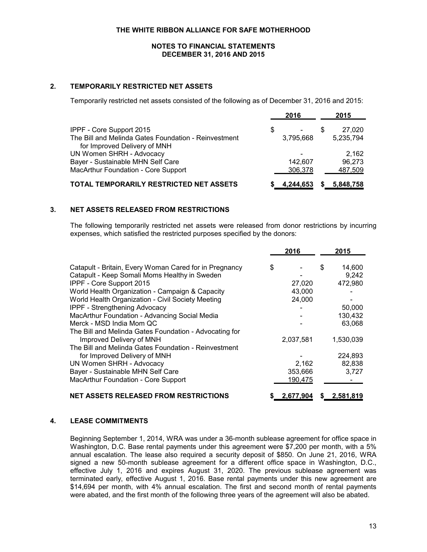### **NOTES TO FINANCIAL STATEMENTS DECEMBER 31, 2016 AND 2015**

## **2. TEMPORARILY RESTRICTED NET ASSETS**

Temporarily restricted net assets consisted of the following as of December 31, 2016 and 2015:

|                                                      |   | 2016      | 2015      |
|------------------------------------------------------|---|-----------|-----------|
| IPPF - Core Support 2015                             | S |           | 27.020    |
| The Bill and Melinda Gates Foundation - Reinvestment |   | 3,795,668 | 5,235,794 |
| for Improved Delivery of MNH                         |   |           |           |
| UN Women SHRH - Advocacy                             |   |           | 2,162     |
| Bayer - Sustainable MHN Self Care                    |   | 142,607   | 96,273    |
| <b>MacArthur Foundation - Core Support</b>           |   | 306.378   | 487,509   |
| TOTAL TEMPORARILY RESTRICTED NET ASSETS              |   | 4,244,653 | 5,848,758 |

### **3. NET ASSETS RELEASED FROM RESTRICTIONS**

The following temporarily restricted net assets were released from donor restrictions by incurring expenses, which satisfied the restricted purposes specified by the donors:

|                                                        | 2016 |           |   | 2015      |  |
|--------------------------------------------------------|------|-----------|---|-----------|--|
|                                                        |      |           |   |           |  |
| Catapult - Britain, Every Woman Cared for in Pregnancy | \$   |           | S | 14,600    |  |
| Catapult - Keep Somali Moms Healthy in Sweden          |      |           |   | 9,242     |  |
| IPPF - Core Support 2015                               |      | 27,020    |   | 472,980   |  |
| World Health Organization - Campaign & Capacity        |      | 43,000    |   |           |  |
| World Health Organization - Civil Society Meeting      |      | 24,000    |   |           |  |
| <b>IPPF - Strengthening Advocacy</b>                   |      |           |   | 50,000    |  |
| MacArthur Foundation - Advancing Social Media          |      |           |   | 130,432   |  |
| Merck - MSD India Mom QC                               |      |           |   | 63,068    |  |
| The Bill and Melinda Gates Foundation - Advocating for |      |           |   |           |  |
| Improved Delivery of MNH                               |      | 2,037,581 |   | 1,530,039 |  |
| The Bill and Melinda Gates Foundation - Reinvestment   |      |           |   |           |  |
| for Improved Delivery of MNH                           |      |           |   | 224,893   |  |
| UN Women SHRH - Advocacy                               |      | 2,162     |   | 82,838    |  |
| Bayer - Sustainable MHN Self Care                      |      | 353,666   |   | 3,727     |  |
| MacArthur Foundation - Core Support                    |      | 190,475   |   |           |  |
| <b>NET ASSETS RELEASED FROM RESTRICTIONS</b>           |      | 2,677,904 |   | 2,581,819 |  |

### **4. LEASE COMMITMENTS**

Beginning September 1, 2014, WRA was under a 36-month sublease agreement for office space in Washington, D.C. Base rental payments under this agreement were \$7,200 per month, with a 5% annual escalation. The lease also required a security deposit of \$850. On June 21, 2016, WRA signed a new 50-month sublease agreement for a different office space in Washington, D.C., effective July 1, 2016 and expires August 31, 2020. The previous sublease agreement was terminated early, effective August 1, 2016. Base rental payments under this new agreement are \$14,694 per month, with 4% annual escalation. The first and second month of rental payments were abated, and the first month of the following three years of the agreement will also be abated.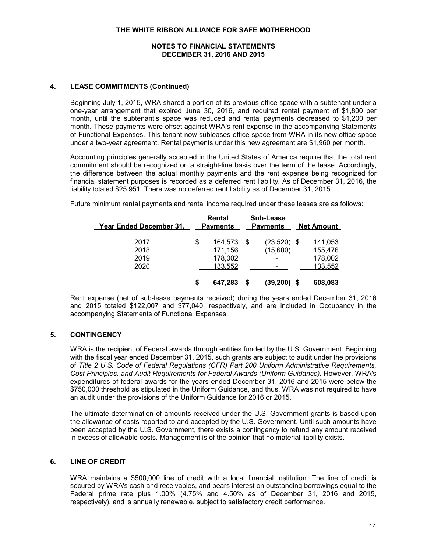### **NOTES TO FINANCIAL STATEMENTS DECEMBER 31, 2016 AND 2015**

## **4. LEASE COMMITMENTS (Continued)**

Beginning July 1, 2015, WRA shared a portion of its previous office space with a subtenant under a one-year arrangement that expired June 30, 2016, and required rental payment of \$1,800 per month, until the subtenant's space was reduced and rental payments decreased to \$1,200 per month. These payments were offset against WRA's rent expense in the accompanying Statements of Functional Expenses. This tenant now subleases office space from WRA in its new office space under a two-year agreement. Rental payments under this new agreement are \$1,960 per month.

Accounting principles generally accepted in the United States of America require that the total rent commitment should be recognized on a straight-line basis over the term of the lease. Accordingly, the difference between the actual monthly payments and the rent expense being recognized for financial statement purposes is recorded as a deferred rent liability. As of December 31, 2016, the liability totaled \$25,951. There was no deferred rent liability as of December 31, 2015.

Future minimum rental payments and rental income required under these leases are as follows:

| <b>Year Ended December 31,</b> |    | Rental<br><b>Payments</b>                | Sub-Lease<br><b>Payments</b> |                           | <b>Net Amount</b>                        |
|--------------------------------|----|------------------------------------------|------------------------------|---------------------------|------------------------------------------|
| 2017<br>2018<br>2019<br>2020   | \$ | 164,573<br>171,156<br>178,002<br>133,552 | S                            | $(23,520)$ \$<br>(15,680) | 141,053<br>155,476<br>178,002<br>133,552 |
|                                | S  | 647,283                                  | \$                           | (39,200)                  | 608,083                                  |

Rent expense (net of sub-lease payments received) during the years ended December 31, 2016 and 2015 totaled \$122,007 and \$77,040, respectively, and are included in Occupancy in the accompanying Statements of Functional Expenses.

## **5. CONTINGENCY**

WRA is the recipient of Federal awards through entities funded by the U.S. Government. Beginning with the fiscal year ended December 31, 2015, such grants are subject to audit under the provisions of *Title 2 U.S. Code of Federal Regulations (CFR) Part 200 Uniform Administrative Requirements, Cost Principles, and Audit Requirements for Federal Awards (Uniform Guidance).* However, WRA's expenditures of federal awards for the years ended December 31, 2016 and 2015 were below the \$750,000 threshold as stipulated in the Uniform Guidance, and thus, WRA was not required to have an audit under the provisions of the Uniform Guidance for 2016 or 2015.

The ultimate determination of amounts received under the U.S. Government grants is based upon the allowance of costs reported to and accepted by the U.S. Government. Until such amounts have been accepted by the U.S. Government, there exists a contingency to refund any amount received in excess of allowable costs. Management is of the opinion that no material liability exists.

## **6. LINE OF CREDIT**

WRA maintains a \$500,000 line of credit with a local financial institution. The line of credit is secured by WRA's cash and receivables, and bears interest on outstanding borrowings equal to the Federal prime rate plus 1.00% (4.75% and 4.50% as of December 31, 2016 and 2015, respectively), and is annually renewable, subject to satisfactory credit performance.